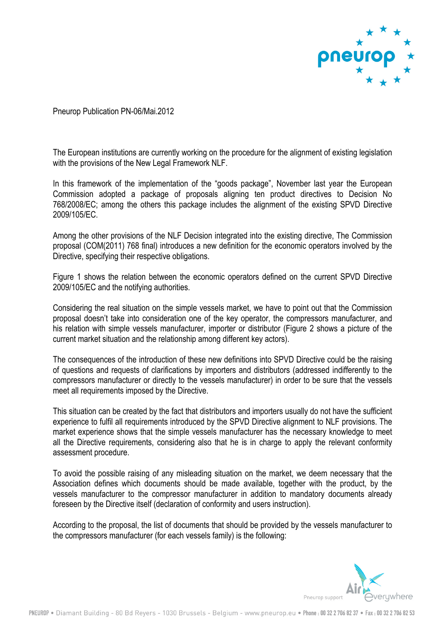

Pneurop Publication PN-06/Mai.2012

The European institutions are currently working on the procedure for the alignment of existing legislation with the provisions of the New Legal Framework NLF.

In this framework of the implementation of the "goods package", November last year the European Commission adopted a package of proposals aligning ten product directives to Decision No 768/2008/EC; among the others this package includes the alignment of the existing SPVD Directive 2009/105/EC.

Among the other provisions of the NLF Decision integrated into the existing directive, The Commission proposal (COM(2011) 768 final) introduces a new definition for the economic operators involved by the Directive, specifying their respective obligations.

Figure 1 shows the relation between the economic operators defined on the current SPVD Directive 2009/105/EC and the notifying authorities.

Considering the real situation on the simple vessels market, we have to point out that the Commission proposal doesn't take into consideration one of the key operator, the compressors manufacturer, and his relation with simple vessels manufacturer, importer or distributor (Figure 2 shows a picture of the current market situation and the relationship among different key actors).

The consequences of the introduction of these new definitions into SPVD Directive could be the raising of questions and requests of clarifications by importers and distributors (addressed indifferently to the compressors manufacturer or directly to the vessels manufacturer) in order to be sure that the vessels meet all requirements imposed by the Directive.

This situation can be created by the fact that distributors and importers usually do not have the sufficient experience to fulfil all requirements introduced by the SPVD Directive alignment to NLF provisions. The market experience shows that the simple vessels manufacturer has the necessary knowledge to meet all the Directive requirements, considering also that he is in charge to apply the relevant conformity assessment procedure.

To avoid the possible raising of any misleading situation on the market, we deem necessary that the Association defines which documents should be made available, together with the product, by the vessels manufacturer to the compressor manufacturer in addition to mandatory documents already foreseen by the Directive itself (declaration of conformity and users instruction).

According to the proposal, the list of documents that should be provided by the vessels manufacturer to the compressors manufacturer (for each vessels family) is the following:

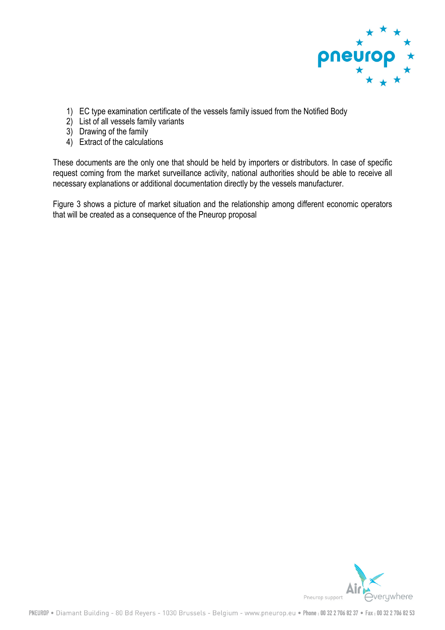

- 1) EC type examination certificate of the vessels family issued from the Notified Body
- 2) List of all vessels family variants
- 3) Drawing of the family
- 4) Extract of the calculations

These documents are the only one that should be held by importers or distributors. In case of specific request coming from the market surveillance activity, national authorities should be able to receive all necessary explanations or additional documentation directly by the vessels manufacturer.

Figure 3 shows a picture of market situation and the relationship among different economic operators that will be created as a consequence of the Pneurop proposal

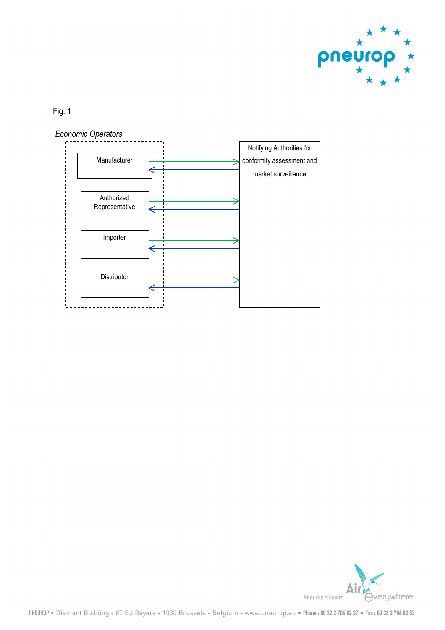

Fig. 1



verywhere Pneurop support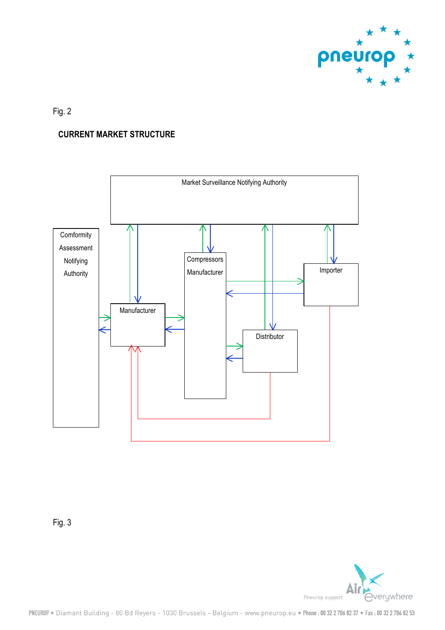

## Fig. 2

## **CURRENT MARKET STRUCTURE**



Fig. 3